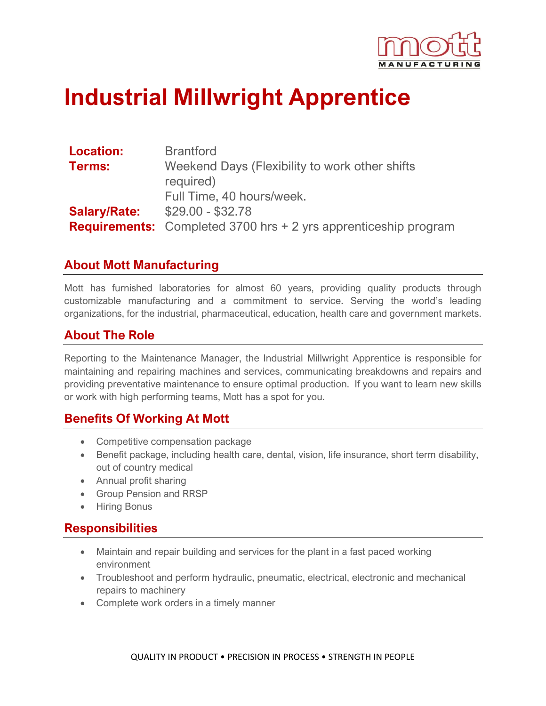

# **Industrial Millwright Apprentice**

| <b>Location:</b>    | <b>Brantford</b>                                                       |
|---------------------|------------------------------------------------------------------------|
| <b>Terms:</b>       | Weekend Days (Flexibility to work other shifts                         |
|                     | required)                                                              |
|                     | Full Time, 40 hours/week.                                              |
| <b>Salary/Rate:</b> | $$29.00 - $32.78$                                                      |
|                     | <b>Requirements:</b> Completed 3700 hrs + 2 yrs apprenticeship program |

#### **About Mott Manufacturing**

Mott has furnished laboratories for almost 60 years, providing quality products through customizable manufacturing and a commitment to service. Serving the world's leading organizations, for the industrial, pharmaceutical, education, health care and government markets.

#### **About The Role**

Reporting to the Maintenance Manager, the Industrial Millwright Apprentice is responsible for maintaining and repairing machines and services, communicating breakdowns and repairs and providing preventative maintenance to ensure optimal production. If you want to learn new skills or work with high performing teams, Mott has a spot for you.

## **Benefits Of Working At Mott**

- Competitive compensation package
- Benefit package, including health care, dental, vision, life insurance, short term disability, out of country medical
- Annual profit sharing
- Group Pension and RRSP
- Hiring Bonus

#### **Responsibilities**

- Maintain and repair building and services for the plant in a fast paced working environment
- Troubleshoot and perform hydraulic, pneumatic, electrical, electronic and mechanical repairs to machinery
- Complete work orders in a timely manner